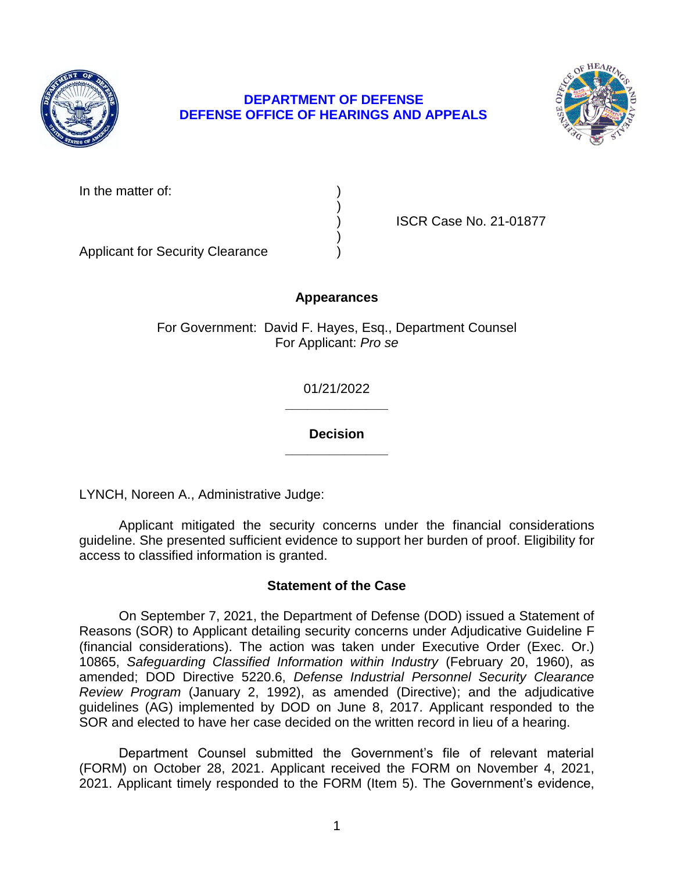

# **DEPARTMENT OF DEFENSE DEFENSE OFFICE OF HEARINGS AND APPEALS**



) ISCR Case No. 21-01877

Applicant for Security Clearance )

## **Appearances**

)

)

For Government: David F. Hayes, Esq., Department Counsel For Applicant: *Pro se* 

> **\_\_\_\_\_\_\_\_\_\_\_\_\_\_**  01/21/2022

> **\_\_\_\_\_\_\_\_\_\_\_\_\_\_ Decision**

LYNCH, Noreen A., Administrative Judge:

Applicant mitigated the security concerns under the financial considerations guideline. She presented sufficient evidence to support her burden of proof. Eligibility for access to classified information is granted.

# **Statement of the Case**

 On September 7, 2021, the Department of Defense (DOD) issued a Statement of Reasons (SOR) to Applicant detailing security concerns under Adjudicative Guideline F (financial considerations). The action was taken under Executive Order (Exec. Or.)  10865, *Safeguarding Classified Information within Industry* (February 20, 1960), as *Review Program* (January 2, 1992), as amended (Directive); and the adjudicative guidelines (AG) implemented by DOD on June 8, 2017. Applicant responded to the SOR and elected to have her case decided on the written record in lieu of a hearing. amended; DOD Directive 5220.6, *Defense Industrial Personnel Security Clearance* 

 Department Counsel submitted the Government's file of relevant material (FORM) on October 28, 2021. Applicant received the FORM on November 4, 2021, 2021. Applicant timely responded to the FORM (Item 5). The Government's evidence,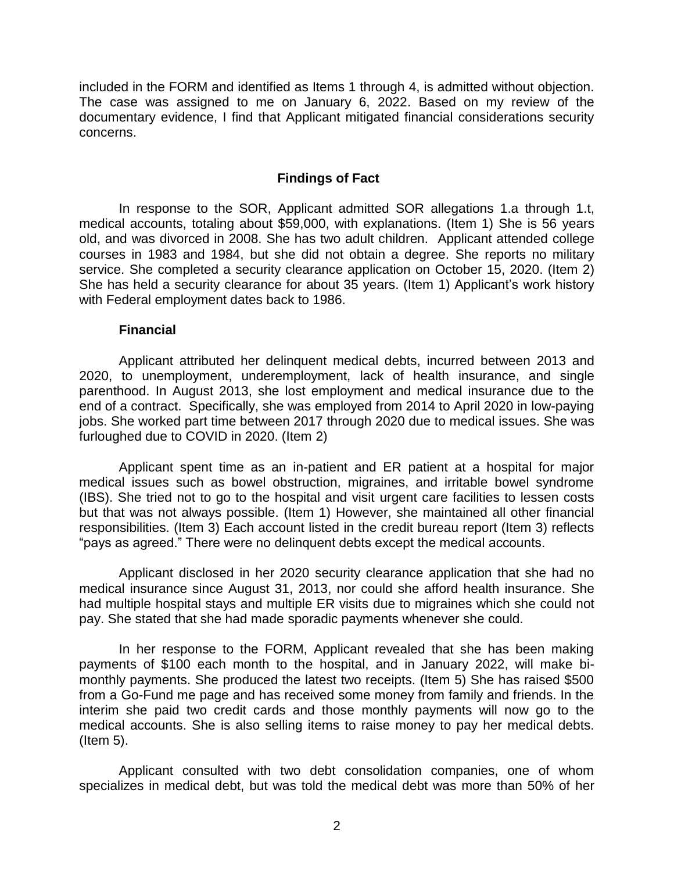included in the FORM and identified as Items 1 through 4, is admitted without objection. The case was assigned to me on January 6, 2022. Based on my review of the documentary evidence, I find that Applicant mitigated financial considerations security concerns.

## **Findings of Fact**

 In response to the SOR, Applicant admitted SOR allegations 1.a through 1.t, medical accounts, totaling about \$59,000, with explanations. (Item 1) She is 56 years old, and was divorced in 2008. She has two adult children. Applicant attended college courses in 1983 and 1984, but she did not obtain a degree. She reports no military service. She completed a security clearance application on October 15, 2020. (Item 2) She has held a security clearance for about 35 years. (Item 1) Applicant's work history with Federal employment dates back to 1986.

#### **Financial**

 Applicant attributed her delinquent medical debts, incurred between 2013 and 2020, to unemployment, underemployment, lack of health insurance, and single parenthood. In August 2013, she lost employment and medical insurance due to the end of a contract. Specifically, she was employed from 2014 to April 2020 in low-paying jobs. She worked part time between 2017 through 2020 due to medical issues. She was furloughed due to COVID in 2020. (Item 2)

 Applicant spent time as an in-patient and ER patient at a hospital for major (IBS). She tried not to go to the hospital and visit urgent care facilities to lessen costs but that was not always possible. (Item 1) However, she maintained all other financial responsibilities. (Item 3) Each account listed in the credit bureau report (Item 3) reflects medical issues such as bowel obstruction, migraines, and irritable bowel syndrome "pays as agreed." There were no delinquent debts except the medical accounts.

 Applicant disclosed in her 2020 security clearance application that she had no medical insurance since August 31, 2013, nor could she afford health insurance. She had multiple hospital stays and multiple ER visits due to migraines which she could not pay. She stated that she had made sporadic payments whenever she could.

 In her response to the FORM, Applicant revealed that she has been making payments of \$100 each month to the hospital, and in January 2022, will make bi- monthly payments. She produced the latest two receipts. (Item 5) She has raised \$500 from a Go-Fund me page and has received some money from family and friends. In the interim she paid two credit cards and those monthly payments will now go to the medical accounts. She is also selling items to raise money to pay her medical debts. (Item 5).

 Applicant consulted with two debt consolidation companies, one of whom specializes in medical debt, but was told the medical debt was more than 50% of her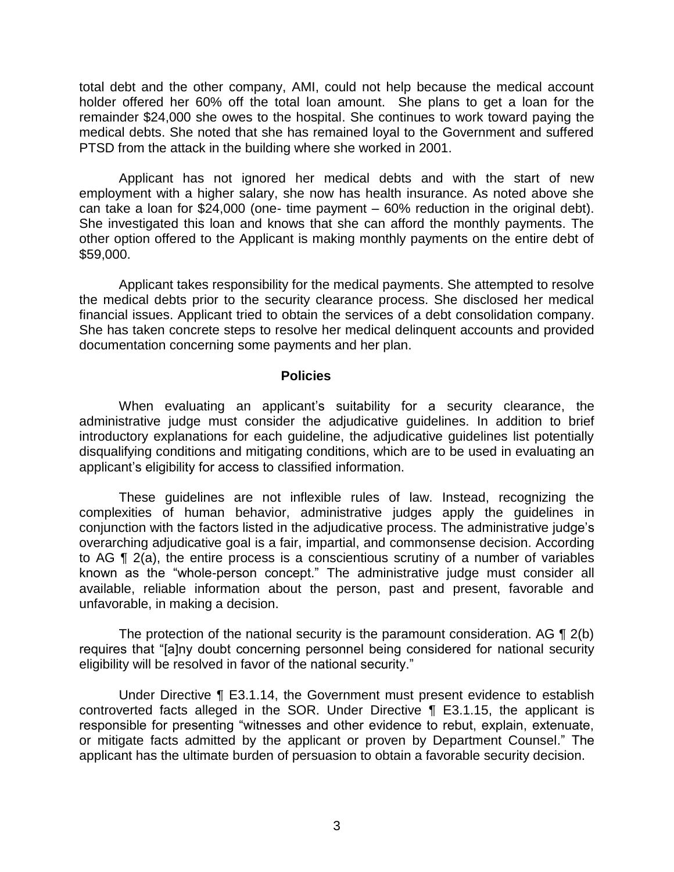total debt and the other company, AMI, could not help because the medical account holder offered her 60% off the total loan amount. She plans to get a loan for the remainder \$24,000 she owes to the hospital. She continues to work toward paying the medical debts. She noted that she has remained loyal to the Government and suffered PTSD from the attack in the building where she worked in 2001.

 Applicant has not ignored her medical debts and with the start of new employment with a higher salary, she now has health insurance. As noted above she can take a loan for \$24,000 (one- time payment – 60% reduction in the original debt). She investigated this loan and knows that she can afford the monthly payments. The other option offered to the Applicant is making monthly payments on the entire debt of \$59,000.

 the medical debts prior to the security clearance process. She disclosed her medical financial issues. Applicant tried to obtain the services of a debt consolidation company. She has taken concrete steps to resolve her medical delinquent accounts and provided Applicant takes responsibility for the medical payments. She attempted to resolve documentation concerning some payments and her plan.

#### **Policies**

 When evaluating an applicant's suitability for a security clearance, the administrative judge must consider the adjudicative guidelines. In addition to brief introductory explanations for each guideline, the adjudicative guidelines list potentially disqualifying conditions and mitigating conditions, which are to be used in evaluating an applicant's eligibility for access to classified information.

 These guidelines are not inflexible rules of law. Instead, recognizing the complexities of human behavior, administrative judges apply the guidelines in conjunction with the factors listed in the adjudicative process. The administrative judge's overarching adjudicative goal is a fair, impartial, and commonsense decision. According to AG ¶ 2(a), the entire process is a conscientious scrutiny of a number of variables known as the "whole-person concept." The administrative judge must consider all available, reliable information about the person, past and present, favorable and unfavorable, in making a decision.

The protection of the national security is the paramount consideration. AG  $\P$  2(b) eligibility will be resolved in favor of the national security." requires that "[a]ny doubt concerning personnel being considered for national security

 Under Directive ¶ E3.1.14, the Government must present evidence to establish controverted facts alleged in the SOR. Under Directive ¶ E3.1.15, the applicant is responsible for presenting "witnesses and other evidence to rebut, explain, extenuate, or mitigate facts admitted by the applicant or proven by Department Counsel." The applicant has the ultimate burden of persuasion to obtain a favorable security decision.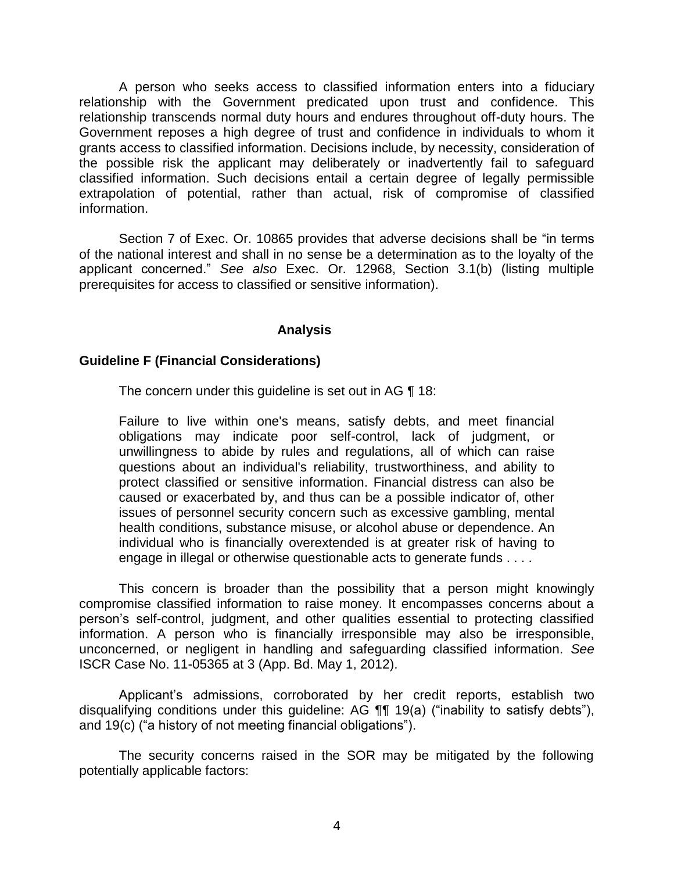A person who seeks access to classified information enters into a fiduciary relationship with the Government predicated upon trust and confidence. This relationship transcends normal duty hours and endures throughout off-duty hours. The Government reposes a high degree of trust and confidence in individuals to whom it grants access to classified information. Decisions include, by necessity, consideration of the possible risk the applicant may deliberately or inadvertently fail to safeguard classified information. Such decisions entail a certain degree of legally permissible extrapolation of potential, rather than actual, risk of compromise of classified information.

 Section 7 of Exec. Or. 10865 provides that adverse decisions shall be "in terms of the national interest and shall in no sense be a determination as to the loyalty of the applicant concerned." *See also* Exec. Or. 12968, Section 3.1(b) (listing multiple prerequisites for access to classified or sensitive information).

### **Analysis**

#### **Guideline F (Financial Considerations)**

The concern under this guideline is set out in AG ¶ 18:

Failure to live within one's means, satisfy debts, and meet financial obligations may indicate poor self-control, lack of judgment, or unwillingness to abide by rules and regulations, all of which can raise questions about an individual's reliability, trustworthiness, and ability to protect classified or sensitive information. Financial distress can also be caused or exacerbated by, and thus can be a possible indicator of, other issues of personnel security concern such as excessive gambling, mental health conditions, substance misuse, or alcohol abuse or dependence. An individual who is financially overextended is at greater risk of having to engage in illegal or otherwise questionable acts to generate funds . . . .

 This concern is broader than the possibility that a person might knowingly compromise classified information to raise money. It encompasses concerns about a person's self-control, judgment, and other qualities essential to protecting classified information. A person who is financially irresponsible may also be irresponsible, unconcerned, or negligent in handling and safeguarding classified information. *See*  ISCR Case No. 11-05365 at 3 (App. Bd. May 1, 2012).

 Applicant's admissions, corroborated by her credit reports, establish two disqualifying conditions under this guideline: AG ¶¶ 19(a) ("inability to satisfy debts"), and 19(c) ("a history of not meeting financial obligations").

 The security concerns raised in the SOR may be mitigated by the following potentially applicable factors: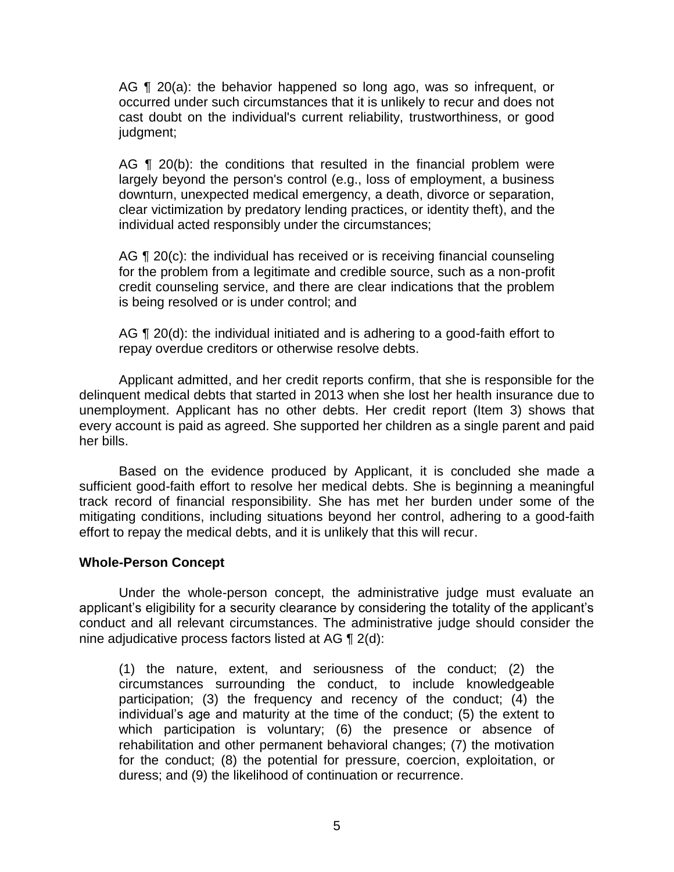AG ¶ 20(a): the behavior happened so long ago, was so infrequent, or occurred under such circumstances that it is unlikely to recur and does not cast doubt on the individual's current reliability, trustworthiness, or good judgment;

AG  $\P$  20(b): the conditions that resulted in the financial problem were largely beyond the person's control (e.g., loss of employment, a business clear victimization by predatory lending practices, or identity theft), and the downturn, unexpected medical emergency, a death, divorce or separation, individual acted responsibly under the circumstances;

AG ¶ 20(c): the individual has received or is receiving financial counseling for the problem from a legitimate and credible source, such as a non-profit credit counseling service, and there are clear indications that the problem is being resolved or is under control; and

AG ¶ 20(d): the individual initiated and is adhering to a good-faith effort to repay overdue creditors or otherwise resolve debts.

 Applicant admitted, and her credit reports confirm, that she is responsible for the delinquent medical debts that started in 2013 when she lost her health insurance due to unemployment. Applicant has no other debts. Her credit report (Item 3) shows that every account is paid as agreed. She supported her children as a single parent and paid her bills.

 Based on the evidence produced by Applicant, it is concluded she made a sufficient good-faith effort to resolve her medical debts. She is beginning a meaningful track record of financial responsibility. She has met her burden under some of the mitigating conditions, including situations beyond her control, adhering to a good-faith effort to repay the medical debts, and it is unlikely that this will recur.

## **Whole-Person Concept**

Under the whole-person concept, the administrative judge must evaluate an applicant's eligibility for a security clearance by considering the totality of the applicant's conduct and all relevant circumstances. The administrative judge should consider the nine adjudicative process factors listed at AG ¶ 2(d):

(1) the nature, extent, and seriousness of the conduct; (2) the circumstances surrounding the conduct, to include knowledgeable participation; (3) the frequency and recency of the conduct; (4) the individual's age and maturity at the time of the conduct; (5) the extent to which participation is voluntary; (6) the presence or absence of rehabilitation and other permanent behavioral changes; (7) the motivation for the conduct; (8) the potential for pressure, coercion, exploitation, or duress; and (9) the likelihood of continuation or recurrence.